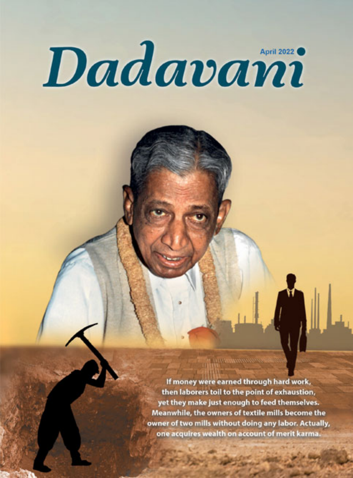# Dadavami

If money were earned through hard work, then laborers toil to the point of exhaustion, yet they make just enough to feed themselves. Meanwhile, the owners of textile mills become the owner of two mills without doing any labor. Actually, one acquires wealth on account of merit karma.

**THURMMOODS**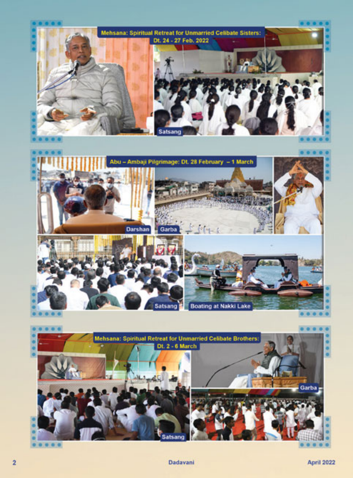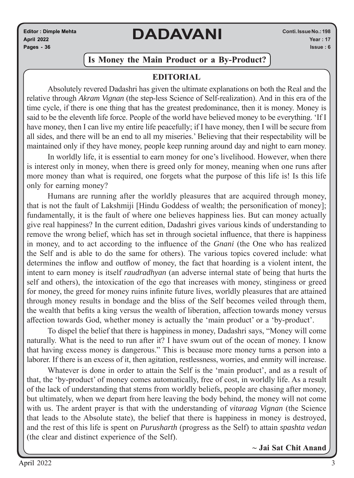**Editor : Dimple Mehta April 2022 Pages - 36**

# **DADAVANI**

#### **Is Money the Main Product or a By-Product?**

#### **EDITORIAL**

Absolutely revered Dadashri has given the ultimate explanations on both the Real and the relative through *Akram Vignan* (the step-less Science of Self-realization). And in this era of the time cycle, if there is one thing that has the greatest predominance, then it is money. Money is said to be the eleventh life force. People of the world have believed money to be everything. 'If I have money, then I can live my entire life peacefully; if I have money, then I will be secure from all sides, and there will be an end to all my miseries.' Believing that their respectability will be maintained only if they have money, people keep running around day and night to earn money.

In worldly life, it is essential to earn money for one's livelihood. However, when there is interest only in money, when there is greed only for money, meaning when one runs after more money than what is required, one forgets what the purpose of this life is! Is this life only for earning money?

Humans are running after the worldly pleasures that are acquired through money, that is not the fault of Lakshmiji [Hindu Goddess of wealth; the personification of money]; fundamentally, it is the fault of where one believes happiness lies. But can money actually give real happiness? In the current edition, Dadashri gives various kinds of understanding to remove the wrong belief, which has set in through societal influence, that there is happiness in money, and to act according to the influence of the *Gnani* (the One who has realized the Self and is able to do the same for others). The various topics covered include: what determines the inflow and outflow of money, the fact that hoarding is a violent intent, the intent to earn money is itself *raudradhyan* (an adverse internal state of being that hurts the self and others), the intoxication of the ego that increases with money, stinginess or greed for money, the greed for money ruins infinite future lives, worldly pleasures that are attained through money results in bondage and the bliss of the Self becomes veiled through them, the wealth that befits a king versus the wealth of liberation, affection towards money versus affection towards God, whether money is actually the 'main product' or a 'by-product'.

To dispel the belief that there is happiness in money, Dadashri says, "Money will come naturally. What is the need to run after it? I have swum out of the ocean of money. I know that having excess money is dangerous." This is because more money turns a person into a laborer. If there is an excess of it, then agitation, restlessness, worries, and enmity will increase.

Whatever is done in order to attain the Self is the 'main product', and as a result of that, the 'by-product' of money comes automatically, free of cost, in worldly life. As a result of the lack of understanding that stems from worldly beliefs, people are chasing after money, but ultimately, when we depart from here leaving the body behind, the money will not come with us. The ardent prayer is that with the understanding of *vitaraag Vignan* (the Science that leads to the Absolute state), the belief that there is happiness in money is destroyed, and the rest of this life is spent on *Purusharth* (progress as the Self) to attain *spashta vedan* (the clear and distinct experience of the Self).

**~ Jai Sat Chit Anand**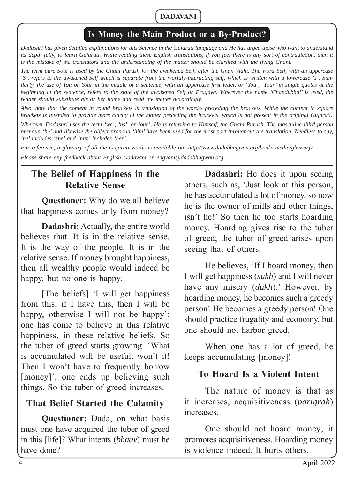#### **Is Money the Main Product or a By-Product?**

*Dadashri has given detailed explanations for this Science in the Gujarati language and He has urged those who want to understand*  its depth fully, to learn Gujarati. While reading these English translations, if you feel there is any sort of contradiction, then it *is the mistake of the translators and the understanding of the matter should be clarified with the living Gnani.* 

*The term pure Soul is used by the Gnani Purush for the awakened Self, after the Gnan Vidhi. The word Self, with an uppercase 'S', refers to the awakened Self which is separate from the worldly-interacting self, which is written with a lowercase 's'. Similarly, the use of You or Your in the middle of a sentence, with an uppercase first letter, or 'You', 'Your' in single quotes at the beginning of the sentence, refers to the state of the awakened Self or Pragnya. Wherever the name 'Chandubhai' is used, the reader should substitute his or her name and read the matter accordingly.* 

*Also, note that the content in round brackets is translation of the word/s preceding the brackets. While the content in square brackets is intended to provide more clarity of the matter preceding the brackets, which is not present in the original Gujarati.* 

*Wherever Dadashri uses the term 'we', 'us', or 'our', He is referring to Himself, the Gnani Purush. The masculine third person pronoun 'he' and likewise the object pronoun 'him' have been used for the most part throughout the translation. Needless to say, 'he' includes 'she' and 'him' includes 'her'.*

*For reference, a glossary of all the Gujarati words is available on: http://www.dadabhagwan.org/books-media/glossary/. Please share any feedback about English Dadavani on engvani@dadabhagwan.org.*

#### **The Belief of Happiness in the Relative Sense**

**Questioner:** Why do we all believe that happiness comes only from money?

**Dadashri:** Actually, the entire world believes that. It is in the relative sense. It is the way of the people. It is in the relative sense. If money brought happiness, then all wealthy people would indeed be happy, but no one is happy.

[The beliefs] 'I will get happiness from this; if I have this, then I will be happy, otherwise I will not be happy'; one has come to believe in this relative happiness, in these relative beliefs. So the tuber of greed starts growing. 'What is accumulated will be useful, won't it! Then I won't have to frequently borrow [money]'; one ends up believing such things. So the tuber of greed increases.

#### **That Belief Started the Calamity**

**Questioner:** Dada, on what basis must one have acquired the tuber of greed in this [life]? What intents (*bhaav*) must he have done?

**Dadashri:** He does it upon seeing others, such as, 'Just look at this person, he has accumulated a lot of money, so now he is the owner of mills and other things, isn't he!' So then he too starts hoarding money. Hoarding gives rise to the tuber of greed; the tuber of greed arises upon seeing that of others.

He believes, 'If I hoard money, then I will get happiness (*sukh*) and I will never have any misery (*dukh*).' However, by hoarding money, he becomes such a greedy person! He becomes a greedy person! One should practice frugality and economy, but one should not harbor greed.

When one has a lot of greed, he keeps accumulating [money]!

#### **To Hoard Is a Violent Intent**

The nature of money is that as it increases, acquisitiveness (*parigrah*) increases.

One should not hoard money; it promotes acquisitiveness. Hoarding money is violence indeed. It hurts others.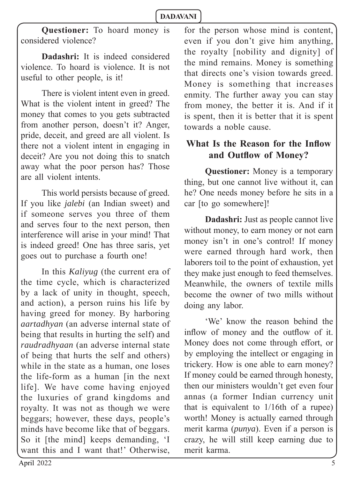**Questioner:** To hoard money is considered violence?

**Dadashri:** It is indeed considered violence. To hoard is violence. It is not useful to other people, is it!

There is violent intent even in greed. What is the violent intent in greed? The money that comes to you gets subtracted from another person, doesn't it? Anger, pride, deceit, and greed are all violent. Is there not a violent intent in engaging in deceit? Are you not doing this to snatch away what the poor person has? Those are all violent intents.

This world persists because of greed. If you like *jalebi* (an Indian sweet) and if someone serves you three of them and serves four to the next person, then interference will arise in your mind! That is indeed greed! One has three saris, yet goes out to purchase a fourth one!

In this *Kaliyug* (the current era of the time cycle, which is characterized by a lack of unity in thought, speech, and action), a person ruins his life by having greed for money. By harboring *aartadhyan* (an adverse internal state of being that results in hurting the self) and *raudradhyaan* (an adverse internal state of being that hurts the self and others) while in the state as a human, one loses the life-form as a human [in the next life]. We have come having enjoyed the luxuries of grand kingdoms and royalty. It was not as though we were beggars; however, these days, people's minds have become like that of beggars. So it [the mind] keeps demanding, 'I want this and I want that!' Otherwise,

for the person whose mind is content, even if you don't give him anything, the royalty [nobility and dignity] of the mind remains. Money is something that directs one's vision towards greed. Money is something that increases enmity. The further away you can stay from money, the better it is. And if it is spent, then it is better that it is spent towards a noble cause.

#### **What Is the Reason for the Inflow** and Outflow of Money?

**Questioner:** Money is a temporary thing, but one cannot live without it, can he? One needs money before he sits in a car [to go somewhere]!

**Dadashri:** Just as people cannot live without money, to earn money or not earn money isn't in one's control! If money were earned through hard work, then laborers toil to the point of exhaustion, yet they make just enough to feed themselves. Meanwhile, the owners of textile mills become the owner of two mills without doing any labor.

'We' know the reason behind the inflow of money and the outflow of it. Money does not come through effort, or by employing the intellect or engaging in trickery. How is one able to earn money? If money could be earned through honesty, then our ministers wouldn't get even four annas (a former Indian currency unit that is equivalent to 1/16th of a rupee) worth! Money is actually earned through merit karma (*punya*). Even if a person is crazy, he will still keep earning due to merit karma.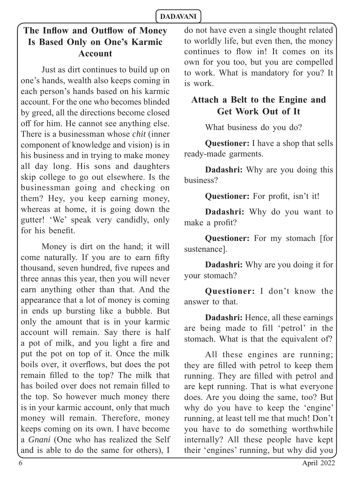## **The Inflow and Outflow of Money Is Based Only on One's Karmic Account**

Just as dirt continues to build up on one's hands, wealth also keeps coming in each person's hands based on his karmic account. For the one who becomes blinded by greed, all the directions become closed off for him. He cannot see anything else. There is a businessman whose *chit* (inner component of knowledge and vision) is in his business and in trying to make money all day long. His sons and daughters skip college to go out elsewhere. Is the businessman going and checking on them? Hey, you keep earning money, whereas at home, it is going down the gutter! 'We' speak very candidly, only for his benefit.

Money is dirt on the hand; it will come naturally. If you are to earn fifty thousand, seven hundred, five rupees and three annas this year, then you will never earn anything other than that. And the appearance that a lot of money is coming in ends up bursting like a bubble. But only the amount that is in your karmic account will remain. Say there is half a pot of milk, and you light a fire and put the pot on top of it. Once the milk boils over, it overflows, but does the pot remain filled to the top? The milk that has boiled over does not remain filled to the top. So however much money there is in your karmic account, only that much money will remain. Therefore, money keeps coming on its own. I have become a *Gnani* (One who has realized the Self and is able to do the same for others), I do not have even a single thought related to worldly life, but even then, the money continues to flow in! It comes on its own for you too, but you are compelled to work. What is mandatory for you? It is work.

#### **Attach a Belt to the Engine and Get Work Out of It**

What business do you do?

**Questioner:** I have a shop that sells ready-made garments.

**Dadashri:** Why are you doing this business?

**Questioner:** For profit, isn't it!

**Dadashri:** Why do you want to make a profit?

**Questioner:** For my stomach [for sustenance].

**Dadashri:** Why are you doing it for your stomach?

**Questioner:** I don't know the answer to that.

**Dadashri:** Hence, all these earnings are being made to fill 'petrol' in the stomach. What is that the equivalent of?

All these engines are running; they are filled with petrol to keep them running. They are filled with petrol and are kept running. That is what everyone does. Are you doing the same, too? But why do you have to keep the 'engine' running, at least tell me that much! Don't you have to do something worthwhile internally? All these people have kept their 'engines' running, but why did you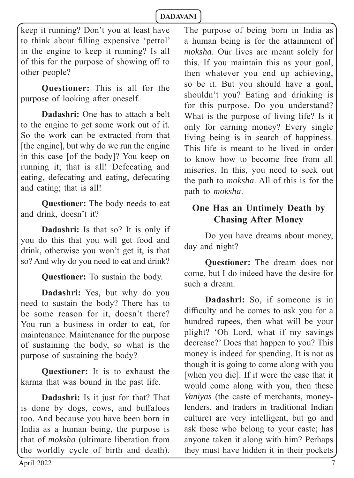keep it running? Don't you at least have to think about filling expensive 'petrol' in the engine to keep it running? Is all of this for the purpose of showing off to other people?

**Questioner:** This is all for the purpose of looking after oneself.

**Dadashri:** One has to attach a belt to the engine to get some work out of it. So the work can be extracted from that [the engine], but why do we run the engine in this case [of the body]? You keep on running it; that is all! Defecating and eating, defecating and eating, defecating and eating; that is all!

**Questioner:** The body needs to eat and drink, doesn't it?

**Dadashri:** Is that so? It is only if you do this that you will get food and drink, otherwise you won't get it, is that so? And why do you need to eat and drink?

**Questioner:** To sustain the body.

**Dadashri:** Yes, but why do you need to sustain the body? There has to be some reason for it, doesn't there? You run a business in order to eat, for maintenance. Maintenance for the purpose of sustaining the body, so what is the purpose of sustaining the body?

**Questioner:** It is to exhaust the karma that was bound in the past life.

**Dadashri:** Is it just for that? That is done by dogs, cows, and buffaloes too. And because you have been born in India as a human being, the purpose is that of *moksha* (ultimate liberation from the worldly cycle of birth and death).

The purpose of being born in India as a human being is for the attainment of *moksha*. Our lives are meant solely for this. If you maintain this as your goal, then whatever you end up achieving, so be it. But you should have a goal, shouldn't you? Eating and drinking is for this purpose. Do you understand? What is the purpose of living life? Is it only for earning money? Every single living being is in search of happiness. This life is meant to be lived in order to know how to become free from all miseries. In this, you need to seek out the path to *moksha*. All of this is for the path to *moksha*.

## **One Has an Untimely Death by Chasing After Money**

Do you have dreams about money, day and night?

**Questioner:** The dream does not come, but I do indeed have the desire for such a dream.

**Dadashri:** So, if someone is in difficulty and he comes to ask you for a hundred rupees, then what will be your plight? 'Oh Lord, what if my savings decrease?' Does that happen to you? This money is indeed for spending. It is not as though it is going to come along with you [when you die]. If it were the case that it would come along with you, then these *Vaniyas* (the caste of merchants, moneylenders, and traders in traditional Indian culture) are very intelligent, but go and ask those who belong to your caste; has anyone taken it along with him? Perhaps they must have hidden it in their pockets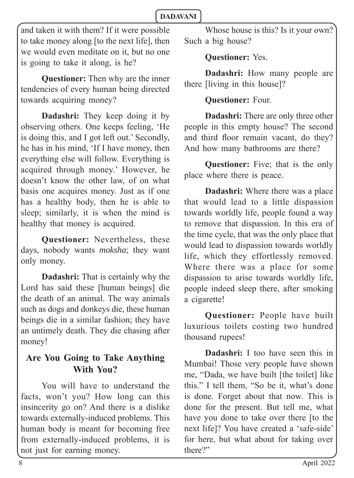and taken it with them? If it were possible to take money along [to the next life], then we would even meditate on it, but no one is going to take it along, is he?

**Questioner:** Then why are the inner tendencies of every human being directed towards acquiring money?

**Dadashri:** They keep doing it by observing others. One keeps feeling, 'He is doing this, and I got left out.' Secondly, he has in his mind, 'If I have money, then everything else will follow. Everything is acquired through money.' However, he doesn't know the other law, of on what basis one acquires money. Just as if one has a healthy body, then he is able to sleep; similarly, it is when the mind is healthy that money is acquired.

**Questioner:** Nevertheless, these days, nobody wants *moksha*; they want only money.

**Dadashri:** That is certainly why the Lord has said these [human beings] die the death of an animal. The way animals such as dogs and donkeys die, these human beings die in a similar fashion; they have an untimely death. They die chasing after money!

#### **Are You Going to Take Anything With You?**

You will have to understand the facts, won't you? How long can this insincerity go on? And there is a dislike towards externally-induced problems. This human body is meant for becoming free from externally-induced problems, it is not just for earning money.

Whose house is this? Is it your own? Such a big house?

#### **Questioner:** Yes.

**Dadashri:** How many people are there [living in this house]?

#### **Questioner:** Four.

**Dadashri:** There are only three other people in this empty house? The second and third floor remain vacant, do they? And how many bathrooms are there?

**Questioner:** Five; that is the only place where there is peace.

**Dadashri:** Where there was a place that would lead to a little dispassion towards worldly life, people found a way to remove that dispassion. In this era of the time cycle, that was the only place that would lead to dispassion towards worldly life, which they effortlessly removed. Where there was a place for some dispassion to arise towards worldly life, people indeed sleep there, after smoking a cigarette!

**Questioner:** People have built luxurious toilets costing two hundred thousand rupees!

**Dadashri:** I too have seen this in Mumbai! Those very people have shown me, "Dada, we have built [the toilet] like this." I tell them, "So be it, what's done is done. Forget about that now. This is done for the present. But tell me, what have you done to take over there [to the next life]? You have created a 'safe-side' for here, but what about for taking over there?"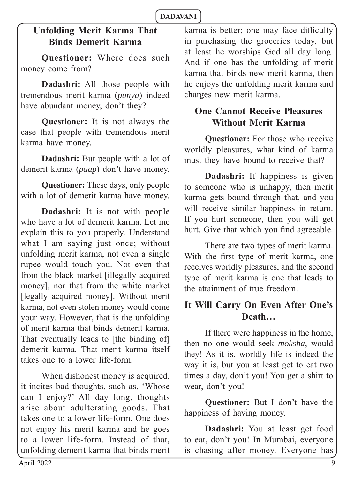## **Unfolding Merit Karma That Binds Demerit Karma**

**Questioner:** Where does such money come from?

**Dadashri:** All those people with tremendous merit karma (*punya*) indeed have abundant money, don't they?

**Questioner:** It is not always the case that people with tremendous merit karma have money.

**Dadashri:** But people with a lot of demerit karma (*paap*) don't have money.

**Questioner:** These days, only people with a lot of demerit karma have money.

**Dadashri:** It is not with people who have a lot of demerit karma. Let me explain this to you properly. Understand what I am saying just once; without unfolding merit karma, not even a single rupee would touch you. Not even that from the black market [illegally acquired money], nor that from the white market [legally acquired money]. Without merit karma, not even stolen money would come your way. However, that is the unfolding of merit karma that binds demerit karma. That eventually leads to [the binding of] demerit karma. That merit karma itself takes one to a lower life-form.

When dishonest money is acquired, it incites bad thoughts, such as, 'Whose can I enjoy?' All day long, thoughts arise about adulterating goods. That takes one to a lower life-form. One does not enjoy his merit karma and he goes to a lower life-form. Instead of that, unfolding demerit karma that binds merit karma is better; one may face difficulty in purchasing the groceries today, but at least he worships God all day long. And if one has the unfolding of merit karma that binds new merit karma, then he enjoys the unfolding merit karma and charges new merit karma.

## **One Cannot Receive Pleasures Without Merit Karma**

**Questioner:** For those who receive worldly pleasures, what kind of karma must they have bound to receive that?

**Dadashri:** If happiness is given to someone who is unhappy, then merit karma gets bound through that, and you will receive similar happiness in return. If you hurt someone, then you will get hurt. Give that which you find agreeable.

There are two types of merit karma. With the first type of merit karma, one receives worldly pleasures, and the second type of merit karma is one that leads to the attainment of true freedom.

## **It Will Carry On Even After One's Death…**

If there were happiness in the home, then no one would seek *moksha*, would they! As it is, worldly life is indeed the way it is, but you at least get to eat two times a day, don't you! You get a shirt to wear, don't you!

**Questioner:** But I don't have the happiness of having money.

**Dadashri:** You at least get food to eat, don't you! In Mumbai, everyone is chasing after money. Everyone has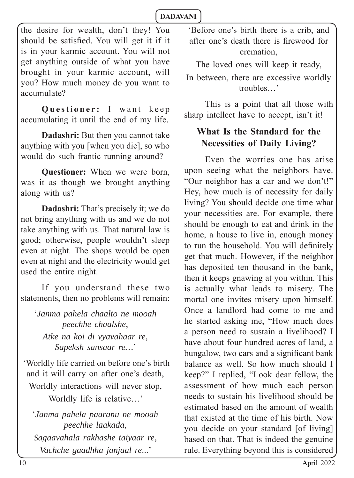the desire for wealth, don't they! You should be satisfied. You will get it if it is in your karmic account. You will not get anything outside of what you have brought in your karmic account, will you? How much money do you want to accumulate?

**Questioner:** I want keep accumulating it until the end of my life.

**Dadashri:** But then you cannot take anything with you [when you die], so who would do such frantic running around?

**Questioner:** When we were born, was it as though we brought anything along with us?

**Dadashri:** That's precisely it; we do not bring anything with us and we do not take anything with us. That natural law is good; otherwise, people wouldn't sleep even at night. The shops would be open even at night and the electricity would get used the entire night.

If you understand these two statements, then no problems will remain:

'*Janma pahela chaalto ne mooah peechhe chaalshe*, *Atke na koi di vyavahaar re*, *Sapeksh sansaar re…*'

 'Worldly life carried on before one's birth and it will carry on after one's death, Worldly interactions will never stop, Worldly life is relative…'

'*Janma pahela paaranu ne mooah peechhe laakada*, *Sagaavahala rakhashe taiyaar re*, *Vachche gaadhha janjaal re*...'

'Before one's birth there is a crib, and after one's death there is firewood for cremation,

The loved ones will keep it ready, In between, there are excessive worldly troubles…'

This is a point that all those with sharp intellect have to accept, isn't it!

## **What Is the Standard for the Necessities of Daily Living?**

Even the worries one has arise upon seeing what the neighbors have. "Our neighbor has a car and we don't!" Hey, how much is of necessity for daily living? You should decide one time what your necessities are. For example, there should be enough to eat and drink in the home, a house to live in, enough money to run the household. You will definitely get that much. However, if the neighbor has deposited ten thousand in the bank, then it keeps gnawing at you within. This is actually what leads to misery. The mortal one invites misery upon himself. Once a landlord had come to me and he started asking me, "How much does a person need to sustain a livelihood? I have about four hundred acres of land, a bungalow, two cars and a significant bank balance as well. So how much should I keep?" I replied, "Look dear fellow, the assessment of how much each person needs to sustain his livelihood should be estimated based on the amount of wealth that existed at the time of his birth. Now you decide on your standard [of living] based on that. That is indeed the genuine rule. Everything beyond this is considered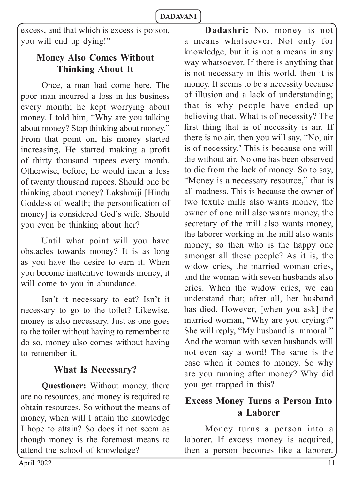excess, and that which is excess is poison, you will end up dying!"

## **Money Also Comes Without Thinking About It**

Once, a man had come here. The poor man incurred a loss in his business every month; he kept worrying about money. I told him, "Why are you talking about money? Stop thinking about money." From that point on, his money started increasing. He started making a profit of thirty thousand rupees every month. Otherwise, before, he would incur a loss of twenty thousand rupees. Should one be thinking about money? Lakshmiji [Hindu Goddess of wealth; the personification of money] is considered God's wife. Should you even be thinking about her?

Until what point will you have obstacles towards money? It is as long as you have the desire to earn it. When you become inattentive towards money, it will come to you in abundance.

Isn't it necessary to eat? Isn't it necessary to go to the toilet? Likewise, money is also necessary. Just as one goes to the toilet without having to remember to do so, money also comes without having to remember it.

## **What Is Necessary?**

**Questioner:** Without money, there are no resources, and money is required to obtain resources. So without the means of money, when will I attain the knowledge I hope to attain? So does it not seem as though money is the foremost means to attend the school of knowledge?

**Dadashri:** No, money is not a means whatsoever. Not only for knowledge, but it is not a means in any way whatsoever. If there is anything that is not necessary in this world, then it is money. It seems to be a necessity because of illusion and a lack of understanding; that is why people have ended up believing that. What is of necessity? The first thing that is of necessity is air. If there is no air, then you will say, "No, air is of necessity.' This is because one will die without air. No one has been observed to die from the lack of money. So to say, "Money is a necessary resource," that is all madness. This is because the owner of two textile mills also wants money, the owner of one mill also wants money, the secretary of the mill also wants money, the laborer working in the mill also wants money; so then who is the happy one amongst all these people? As it is, the widow cries, the married woman cries, and the woman with seven husbands also cries. When the widow cries, we can understand that; after all, her husband has died. However, [when you ask] the married woman, "Why are you crying?" She will reply, "My husband is immoral." And the woman with seven husbands will not even say a word! The same is the case when it comes to money. So why are you running after money? Why did you get trapped in this?

## **Excess Money Turns a Person Into a Laborer**

Money turns a person into a laborer. If excess money is acquired, then a person becomes like a laborer.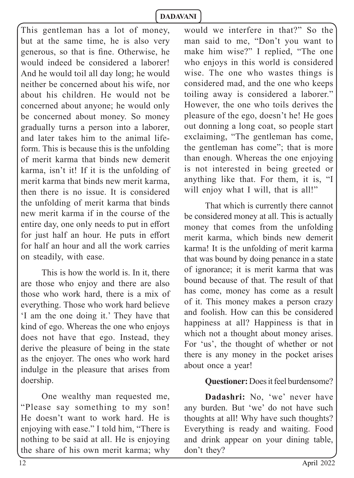This gentleman has a lot of money, but at the same time, he is also very generous, so that is fine. Otherwise, he would indeed be considered a laborer! And he would toil all day long; he would neither be concerned about his wife, nor about his children. He would not be concerned about anyone; he would only be concerned about money. So money gradually turns a person into a laborer, and later takes him to the animal lifeform. This is because this is the unfolding of merit karma that binds new demerit karma, isn't it! If it is the unfolding of merit karma that binds new merit karma, then there is no issue. It is considered the unfolding of merit karma that binds new merit karma if in the course of the entire day, one only needs to put in effort for just half an hour. He puts in effort for half an hour and all the work carries on steadily, with ease.

This is how the world is. In it, there are those who enjoy and there are also those who work hard, there is a mix of everything. Those who work hard believe 'I am the one doing it.' They have that kind of ego. Whereas the one who enjoys does not have that ego. Instead, they derive the pleasure of being in the state as the enjoyer. The ones who work hard indulge in the pleasure that arises from doership.

One wealthy man requested me, "Please say something to my son! He doesn't want to work hard. He is enjoying with ease." I told him, "There is nothing to be said at all. He is enjoying the share of his own merit karma; why

would we interfere in that?" So the man said to me, "Don't you want to make him wise?" I replied, "The one who enjoys in this world is considered wise. The one who wastes things is considered mad, and the one who keeps toiling away is considered a laborer." However, the one who toils derives the pleasure of the ego, doesn't he! He goes out donning a long coat, so people start exclaiming, "The gentleman has come, the gentleman has come"; that is more than enough. Whereas the one enjoying is not interested in being greeted or anything like that. For them, it is, "I will enjoy what I will, that is all!"

That which is currently there cannot be considered money at all. This is actually money that comes from the unfolding merit karma, which binds new demerit karma! It is the unfolding of merit karma that was bound by doing penance in a state of ignorance; it is merit karma that was bound because of that. The result of that has come, money has come as a result of it. This money makes a person crazy and foolish. How can this be considered happiness at all? Happiness is that in which not a thought about money arises. For 'us', the thought of whether or not there is any money in the pocket arises about once a year!

#### **Questioner:** Does it feel burdensome?

**Dadashri:** No, 'we' never have any burden. But 'we' do not have such thoughts at all! Why have such thoughts? Everything is ready and waiting. Food and drink appear on your dining table, don't they?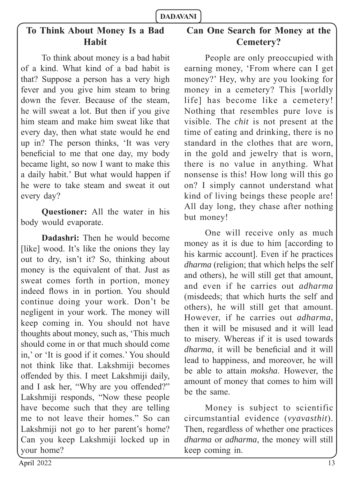## **To Think About Money Is a Bad Habit**

To think about money is a bad habit of a kind. What kind of a bad habit is that? Suppose a person has a very high fever and you give him steam to bring down the fever. Because of the steam, he will sweat a lot. But then if you give him steam and make him sweat like that every day, then what state would he end up in? The person thinks, 'It was very beneficial to me that one day, my body became light, so now I want to make this a daily habit.' But what would happen if he were to take steam and sweat it out every day?

**Questioner:** All the water in his body would evaporate.

**Dadashri:** Then he would become [like] wood. It's like the onions they lay out to dry, isn't it? So, thinking about money is the equivalent of that. Just as sweat comes forth in portion, money indeed flows in in portion. You should continue doing your work. Don't be negligent in your work. The money will keep coming in. You should not have thoughts about money, such as, 'This much should come in or that much should come in,' or 'It is good if it comes.' You should not think like that. Lakshmiji becomes offended by this. I meet Lakshmiji daily, and I ask her, "Why are you offended?" Lakshmiji responds, "Now these people have become such that they are telling me to not leave their homes." So can Lakshmiji not go to her parent's home? Can you keep Lakshmiji locked up in your home?

## **Can One Search for Money at the Cemetery?**

People are only preoccupied with earning money, 'From where can I get money?' Hey, why are you looking for money in a cemetery? This [worldly life] has become like a cemetery! Nothing that resembles pure love is visible. The *chit* is not present at the time of eating and drinking, there is no standard in the clothes that are worn, in the gold and jewelry that is worn, there is no value in anything. What nonsense is this! How long will this go on? I simply cannot understand what kind of living beings these people are! All day long, they chase after nothing but money!

One will receive only as much money as it is due to him [according to his karmic account]. Even if he practices *dharma* (religion; that which helps the self and others), he will still get that amount, and even if he carries out *adharma*  (misdeeds; that which hurts the self and others), he will still get that amount. However, if he carries out *adharma*, then it will be misused and it will lead to misery. Whereas if it is used towards *dharma*, it will be beneficial and it will lead to happiness, and moreover, he will be able to attain *moksha*. However, the amount of money that comes to him will be the same.

Money is subject to scientific circumstantial evidence (*vyavasthit*). Then, regardless of whether one practices *dharma* or *adharma*, the money will still keep coming in.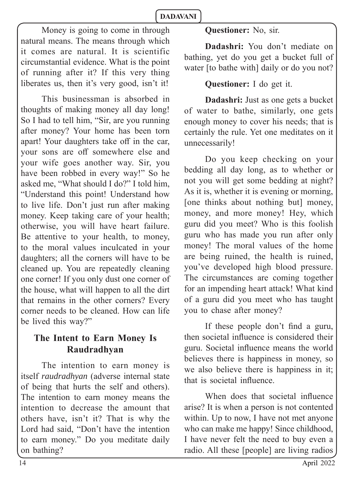Money is going to come in through natural means. The means through which it comes are natural. It is scientific circumstantial evidence. What is the point of running after it? If this very thing liberates us, then it's very good, isn't it!

This businessman is absorbed in thoughts of making money all day long! So I had to tell him, "Sir, are you running after money? Your home has been torn apart! Your daughters take off in the car, your sons are off somewhere else and your wife goes another way. Sir, you have been robbed in every way!" So he asked me, "What should I do?" I told him, "Understand this point! Understand how to live life. Don't just run after making money. Keep taking care of your health; otherwise, you will have heart failure. Be attentive to your health, to money, to the moral values inculcated in your daughters; all the corners will have to be cleaned up. You are repeatedly cleaning one corner! If you only dust one corner of the house, what will happen to all the dirt that remains in the other corners? Every corner needs to be cleaned. How can life be lived this way?"

## **The Intent to Earn Money Is Raudradhyan**

The intention to earn money is itself *raudradhyan* (adverse internal state of being that hurts the self and others). The intention to earn money means the intention to decrease the amount that others have, isn't it? That is why the Lord had said, "Don't have the intention to earn money." Do you meditate daily on bathing?

#### **Questioner:** No, sir.

**Dadashri:** You don't mediate on bathing, yet do you get a bucket full of water [to bathe with] daily or do you not?

#### **Questioner:** I do get it.

**Dadashri:** Just as one gets a bucket of water to bathe, similarly, one gets enough money to cover his needs; that is certainly the rule. Yet one meditates on it unnecessarily!

Do you keep checking on your bedding all day long, as to whether or not you will get some bedding at night? As it is, whether it is evening or morning, [one thinks about nothing but] money, money, and more money! Hey, which guru did you meet? Who is this foolish guru who has made you run after only money! The moral values of the home are being ruined, the health is ruined, you've developed high blood pressure. The circumstances are coming together for an impending heart attack! What kind of a guru did you meet who has taught you to chase after money?

If these people don't find a guru, then societal influence is considered their guru. Societal influence means the world believes there is happiness in money, so we also believe there is happiness in it; that is societal influence.

When does that societal influence arise? It is when a person is not contented within. Up to now, I have not met anyone who can make me happy! Since childhood, I have never felt the need to buy even a radio. All these [people] are living radios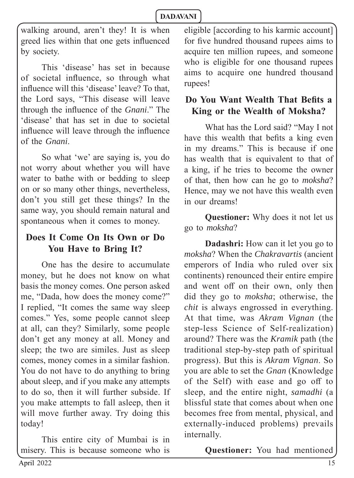walking around, aren't they! It is when greed lies within that one gets influenced by society.

This 'disease' has set in because of societal influence, so through what influence will this 'disease' leave? To that, the Lord says, "This disease will leave through the influence of the *Gnani*." The 'disease' that has set in due to societal influence will leave through the influence of the *Gnani*.

So what 'we' are saying is, you do not worry about whether you will have water to bathe with or bedding to sleep on or so many other things, nevertheless, don't you still get these things? In the same way, you should remain natural and spontaneous when it comes to money.

## **Does It Come On Its Own or Do You Have to Bring It?**

One has the desire to accumulate money, but he does not know on what basis the money comes. One person asked me, "Dada, how does the money come?" I replied, "It comes the same way sleep comes." Yes, some people cannot sleep at all, can they? Similarly, some people don't get any money at all. Money and sleep; the two are similes. Just as sleep comes, money comes in a similar fashion. You do not have to do anything to bring about sleep, and if you make any attempts to do so, then it will further subside. If you make attempts to fall asleep, then it will move further away. Try doing this today!

This entire city of Mumbai is in misery. This is because someone who is eligible [according to his karmic account] for five hundred thousand rupees aims to acquire ten million rupees, and someone who is eligible for one thousand rupees aims to acquire one hundred thousand rupees!

## **Do You Want Wealth That Befits a King or the Wealth of Moksha?**

What has the Lord said? "May I not have this wealth that befits a king even in my dreams." This is because if one has wealth that is equivalent to that of a king, if he tries to become the owner of that, then how can he go to *moksha*? Hence, may we not have this wealth even in our dreams!

**Questioner:** Why does it not let us go to *moksha*?

**Dadashri:** How can it let you go to *moksha*? When the *Chakravartis* (ancient emperors of India who ruled over six continents) renounced their entire empire and went off on their own, only then did they go to *moksha*; otherwise, the *chit* is always engrossed in everything. At that time, was *Akram Vignan* (the step-less Science of Self-realization) around? There was the *Kramik* path (the traditional step-by-step path of spiritual progress). But this is *Akram Vignan*. So you are able to set the *Gnan* (Knowledge of the Self) with ease and go off to sleep, and the entire night, *samadhi* (a blissful state that comes about when one becomes free from mental, physical, and externally-induced problems) prevails internally.

**Questioner:** You had mentioned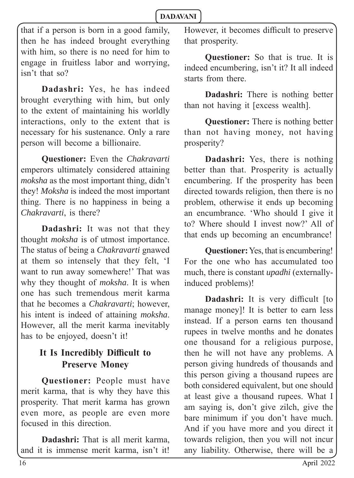that if a person is born in a good family, then he has indeed brought everything with him, so there is no need for him to engage in fruitless labor and worrying, isn't that so?

**Dadashri:** Yes, he has indeed brought everything with him, but only to the extent of maintaining his worldly interactions, only to the extent that is necessary for his sustenance. Only a rare person will become a billionaire.

**Questioner:** Even the *Chakravarti* emperors ultimately considered attaining *moksha* as the most important thing, didn't they! *Moksha* is indeed the most important thing. There is no happiness in being a *Chakravarti*, is there?

**Dadashri:** It was not that they thought *moksha* is of utmost importance. The status of being a *Chakravarti* gnawed at them so intensely that they felt, 'I want to run away somewhere!' That was why they thought of *moksha*. It is when one has such tremendous merit karma that he becomes a *Chakravarti*; however, his intent is indeed of attaining *moksha*. However, all the merit karma inevitably has to be enjoyed, doesn't it!

## It Is Incredibly Difficult to **Preserve Money**

**Questioner:** People must have merit karma, that is why they have this prosperity. That merit karma has grown even more, as people are even more focused in this direction.

**Dadashri:** That is all merit karma, and it is immense merit karma, isn't it! However, it becomes difficult to preserve that prosperity.

**Questioner:** So that is true. It is indeed encumbering, isn't it? It all indeed starts from there.

**Dadashri:** There is nothing better than not having it [excess wealth].

**Questioner:** There is nothing better than not having money, not having prosperity?

**Dadashri:** Yes, there is nothing better than that. Prosperity is actually encumbering. If the prosperity has been directed towards religion, then there is no problem, otherwise it ends up becoming an encumbrance. 'Who should I give it to? Where should I invest now?' All of that ends up becoming an encumbrance!

**Questioner:** Yes, that is encumbering! For the one who has accumulated too much, there is constant *upadhi* (externallyinduced problems)!

**Dadashri:** It is very difficult [to manage money]! It is better to earn less instead. If a person earns ten thousand rupees in twelve months and he donates one thousand for a religious purpose, then he will not have any problems. A person giving hundreds of thousands and this person giving a thousand rupees are both considered equivalent, but one should at least give a thousand rupees. What I am saying is, don't give zilch, give the bare minimum if you don't have much. And if you have more and you direct it towards religion, then you will not incur any liability. Otherwise, there will be a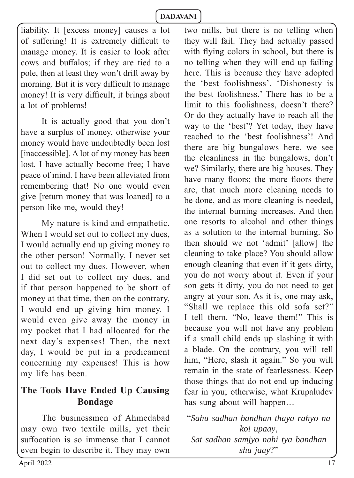liability. It [excess money] causes a lot of suffering! It is extremely difficult to manage money. It is easier to look after cows and buffalos; if they are tied to a pole, then at least they won't drift away by morning. But it is very difficult to manage money! It is very difficult; it brings about a lot of problems!

It is actually good that you don't have a surplus of money, otherwise your money would have undoubtedly been lost [inaccessible]. A lot of my money has been lost. I have actually become free; I have peace of mind. I have been alleviated from remembering that! No one would even give [return money that was loaned] to a person like me, would they!

My nature is kind and empathetic. When I would set out to collect my dues, I would actually end up giving money to the other person! Normally, I never set out to collect my dues. However, when I did set out to collect my dues, and if that person happened to be short of money at that time, then on the contrary, I would end up giving him money. I would even give away the money in my pocket that I had allocated for the next day's expenses! Then, the next day, I would be put in a predicament concerning my expenses! This is how my life has been.

## **The Tools Have Ended Up Causing Bondage**

The businessmen of Ahmedabad may own two textile mills, yet their suffocation is so immense that I cannot even begin to describe it. They may own two mills, but there is no telling when they will fail. They had actually passed with flying colors in school, but there is no telling when they will end up failing here. This is because they have adopted the 'best foolishness'. 'Dishonesty is the best foolishness.' There has to be a limit to this foolishness, doesn't there? Or do they actually have to reach all the way to the 'best'? Yet today, they have reached to the 'best foolishness'! And there are big bungalows here, we see the cleanliness in the bungalows, don't we? Similarly, there are big houses. They have many floors; the more floors there are, that much more cleaning needs to be done, and as more cleaning is needed, the internal burning increases. And then one resorts to alcohol and other things as a solution to the internal burning. So then should we not 'admit' [allow] the cleaning to take place? You should allow enough cleaning that even if it gets dirty, you do not worry about it. Even if your son gets it dirty, you do not need to get angry at your son. As it is, one may ask, "Shall we replace this old sofa set?" I tell them, "No, leave them!" This is because you will not have any problem if a small child ends up slashing it with a blade. On the contrary, you will tell him, "Here, slash it again." So you will remain in the state of fearlessness. Keep those things that do not end up inducing fear in you; otherwise, what Krupaludev has sung about will happen…

"*Sahu sadhan bandhan thaya rahyo na koi upaay*, *Sat sadhan samjyo nahi tya bandhan shu jaay*?"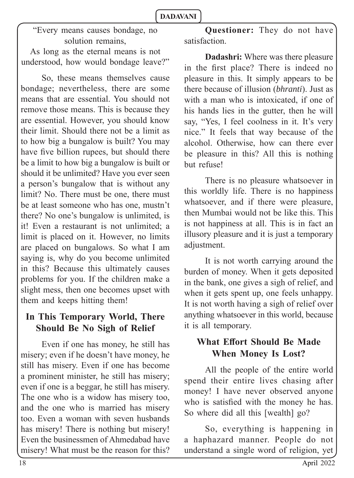"Every means causes bondage, no solution remains,

As long as the eternal means is not understood, how would bondage leave?"

So, these means themselves cause bondage; nevertheless, there are some means that are essential. You should not remove those means. This is because they are essential. However, you should know their limit. Should there not be a limit as to how big a bungalow is built? You may have five billion rupees, but should there be a limit to how big a bungalow is built or should it be unlimited? Have you ever seen a person's bungalow that is without any limit? No. There must be one, there must be at least someone who has one, mustn't there? No one's bungalow is unlimited, is it! Even a restaurant is not unlimited; a limit is placed on it. However, no limits are placed on bungalows. So what I am saying is, why do you become unlimited in this? Because this ultimately causes problems for you. If the children make a slight mess, then one becomes upset with them and keeps hitting them!

## **In This Temporary World, There Should Be No Sigh of Relief**

Even if one has money, he still has misery; even if he doesn't have money, he still has misery. Even if one has become a prominent minister, he still has misery; even if one is a beggar, he still has misery. The one who is a widow has misery too, and the one who is married has misery too. Even a woman with seven husbands has misery! There is nothing but misery! Even the businessmen of Ahmedabad have misery! What must be the reason for this?

**Questioner:** They do not have satisfaction.

**Dadashri:** Where was there pleasure in the first place? There is indeed no pleasure in this. It simply appears to be there because of illusion (*bhranti*). Just as with a man who is intoxicated, if one of his hands lies in the gutter, then he will say, "Yes, I feel coolness in it. It's very nice." It feels that way because of the alcohol. Otherwise, how can there ever be pleasure in this? All this is nothing but refuse!

There is no pleasure whatsoever in this worldly life. There is no happiness whatsoever, and if there were pleasure, then Mumbai would not be like this. This is not happiness at all. This is in fact an illusory pleasure and it is just a temporary adjustment.

It is not worth carrying around the burden of money. When it gets deposited in the bank, one gives a sigh of relief, and when it gets spent up, one feels unhappy. It is not worth having a sigh of relief over anything whatsoever in this world, because it is all temporary.

## **What Effort Should Be Made When Money Is Lost?**

All the people of the entire world spend their entire lives chasing after money! I have never observed anyone who is satisfied with the money he has. So where did all this [wealth] go?

So, everything is happening in a haphazard manner. People do not understand a single word of religion, yet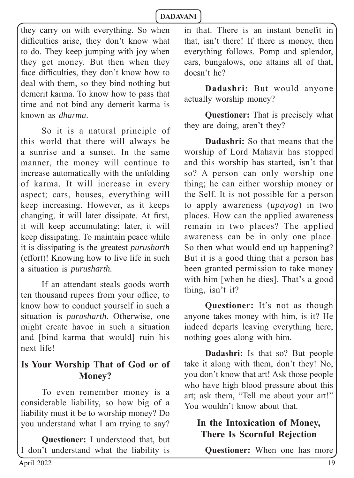they carry on with everything. So when difficulties arise, they don't know what to do. They keep jumping with joy when they get money. But then when they face difficulties, they don't know how to deal with them, so they bind nothing but demerit karma. To know how to pass that time and not bind any demerit karma is known as *dharma*.

So it is a natural principle of this world that there will always be a sunrise and a sunset. In the same manner, the money will continue to increase automatically with the unfolding of karma. It will increase in every aspect; cars, houses, everything will keep increasing. However, as it keeps changing, it will later dissipate. At first, it will keep accumulating; later, it will keep dissipating. To maintain peace while it is dissipating is the greatest *purusharth* (effort)! Knowing how to live life in such a situation is *purusharth.* 

If an attendant steals goods worth ten thousand rupees from your office, to know how to conduct yourself in such a situation is *purusharth*. Otherwise, one might create havoc in such a situation and [bind karma that would] ruin his next life!

#### **Is Your Worship That of God or of Money?**

To even remember money is a considerable liability, so how big of a liability must it be to worship money? Do you understand what I am trying to say?

**Questioner:** I understood that, but I don't understand what the liability is in that. There is an instant benefit in that, isn't there! If there is money, then everything follows. Pomp and splendor, cars, bungalows, one attains all of that, doesn't he?

**Dadashri:** But would anyone actually worship money?

**Questioner:** That is precisely what they are doing, aren't they?

**Dadashri:** So that means that the worship of Lord Mahavir has stopped and this worship has started, isn't that so? A person can only worship one thing; he can either worship money or the Self. It is not possible for a person to apply awareness (*upayog*) in two places. How can the applied awareness remain in two places? The applied awareness can be in only one place. So then what would end up happening? But it is a good thing that a person has been granted permission to take money with him [when he dies]. That's a good thing, isn't it?

**Questioner:** It's not as though anyone takes money with him, is it? He indeed departs leaving everything here, nothing goes along with him.

**Dadashri:** Is that so? But people take it along with them, don't they! No, you don't know that art! Ask those people who have high blood pressure about this art; ask them, "Tell me about your art!" You wouldn't know about that.

## **In the Intoxication of Money, There Is Scornful Rejection**

**Questioner:** When one has more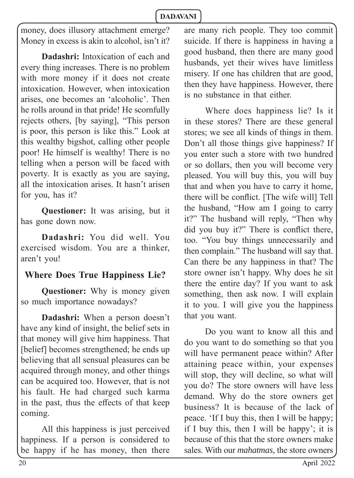money, does illusory attachment emerge? Money in excess is akin to alcohol, isn't it?

**Dadashri:** Intoxication of each and every thing increases. There is no problem with more money if it does not create intoxication. However, when intoxication arises, one becomes an 'alcoholic'. Then he rolls around in that pride! He scornfully rejects others, [by saying], "This person is poor, this person is like this." Look at this wealthy bigshot, calling other people poor! He himself is wealthy! There is no telling when a person will be faced with poverty. It is exactly as you are saying, all the intoxication arises. It hasn't arisen for you, has it?

**Questioner:** It was arising, but it has gone down now.

**Dadashri:** You did well. You exercised wisdom. You are a thinker, aren't you!

## **Where Does True Happiness Lie?**

**Questioner:** Why is money given so much importance nowadays?

**Dadashri:** When a person doesn't have any kind of insight, the belief sets in that money will give him happiness. That [belief] becomes strengthened; he ends up believing that all sensual pleasures can be acquired through money, and other things can be acquired too. However, that is not his fault. He had charged such karma in the past, thus the effects of that keep coming.

All this happiness is just perceived happiness. If a person is considered to be happy if he has money, then there

are many rich people. They too commit suicide. If there is happiness in having a good husband, then there are many good husbands, yet their wives have limitless misery. If one has children that are good, then they have happiness. However, there is no substance in that either.

Where does happiness lie? Is it in these stores? There are these general stores; we see all kinds of things in them. Don't all those things give happiness? If you enter such a store with two hundred or so dollars, then you will become very pleased. You will buy this, you will buy that and when you have to carry it home, there will be conflict. [The wife will] Tell the husband, "How am I going to carry it?" The husband will reply, "Then why did you buy it?" There is conflict there, too. "You buy things unnecessarily and then complain." The husband will say that. Can there be any happiness in that? The store owner isn't happy. Why does he sit there the entire day? If you want to ask something, then ask now. I will explain it to you. I will give you the happiness that you want.

Do you want to know all this and do you want to do something so that you will have permanent peace within? After attaining peace within, your expenses will stop, they will decline, so what will you do? The store owners will have less demand. Why do the store owners get business? It is because of the lack of peace. 'If I buy this, then I will be happy; if I buy this, then I will be happy'; it is because of this that the store owners make sales. With our *mahatmas*, the store owners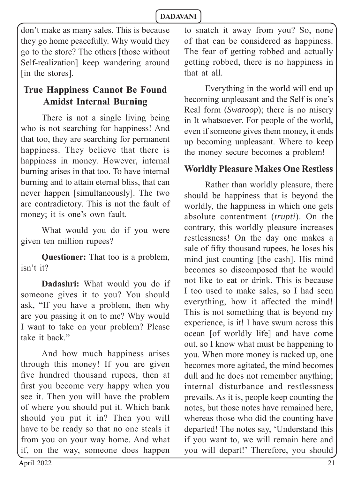don't make as many sales. This is because they go home peacefully. Why would they go to the store? The others [those without Self-realization] keep wandering around [in the stores].

## **True Happiness Cannot Be Found Amidst Internal Burning**

There is not a single living being who is not searching for happiness! And that too, they are searching for permanent happiness. They believe that there is happiness in money. However, internal burning arises in that too. To have internal burning and to attain eternal bliss, that can never happen [simultaneously]. The two are contradictory. This is not the fault of money; it is one's own fault.

What would you do if you were given ten million rupees?

**Questioner:** That too is a problem, isn't it?

**Dadashri:** What would you do if someone gives it to you? You should ask, "If you have a problem, then why are you passing it on to me? Why would I want to take on your problem? Please take it back."

And how much happiness arises through this money! If you are given five hundred thousand rupees, then at first you become very happy when you see it. Then you will have the problem of where you should put it. Which bank should you put it in? Then you will have to be ready so that no one steals it from you on your way home. And what if, on the way, someone does happen

to snatch it away from you? So, none of that can be considered as happiness. The fear of getting robbed and actually getting robbed, there is no happiness in that at all.

Everything in the world will end up becoming unpleasant and the Self is one's Real form (*Swaroop*); there is no misery in It whatsoever. For people of the world, even if someone gives them money, it ends up becoming unpleasant. Where to keep the money secure becomes a problem!

#### **Worldly Pleasure Makes One Restless**

Rather than worldly pleasure, there should be happiness that is beyond the worldly, the happiness in which one gets absolute contentment (*trupti*). On the contrary, this worldly pleasure increases restlessness! On the day one makes a sale of fifty thousand rupees, he loses his mind just counting [the cash]. His mind becomes so discomposed that he would not like to eat or drink. This is because I too used to make sales, so I had seen everything, how it affected the mind! This is not something that is beyond my experience, is it! I have swum across this ocean [of worldly life] and have come out, so I know what must be happening to you. When more money is racked up, one becomes more agitated, the mind becomes dull and he does not remember anything; internal disturbance and restlessness prevails. As it is, people keep counting the notes, but those notes have remained here, whereas those who did the counting have departed! The notes say, 'Understand this if you want to, we will remain here and you will depart!' Therefore, you should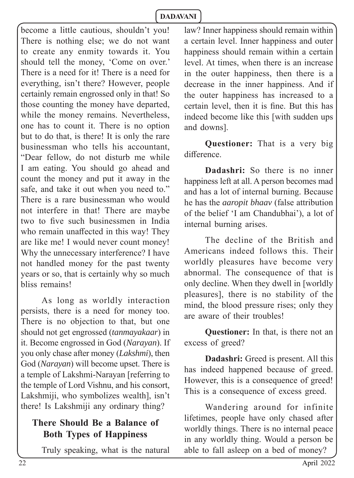become a little cautious, shouldn't you! There is nothing else; we do not want to create any enmity towards it. You should tell the money, 'Come on over.' There is a need for it! There is a need for everything, isn't there? However, people certainly remain engrossed only in that! So those counting the money have departed, while the money remains. Nevertheless, one has to count it. There is no option but to do that, is there! It is only the rare businessman who tells his accountant, "Dear fellow, do not disturb me while I am eating. You should go ahead and count the money and put it away in the safe, and take it out when you need to." There is a rare businessman who would not interfere in that! There are maybe two to five such businessmen in India who remain unaffected in this way! They are like me! I would never count money! Why the unnecessary interference? I have not handled money for the past twenty years or so, that is certainly why so much bliss remains!

As long as worldly interaction persists, there is a need for money too. There is no objection to that, but one should not get engrossed (*tanmayakaar*) in it. Become engrossed in God (*Narayan*). If you only chase after money (*Lakshmi*), then God (*Narayan*) will become upset. There is a temple of Lakshmi-Narayan [referring to the temple of Lord Vishnu, and his consort, Lakshmiji, who symbolizes wealth], isn't there! Is Lakshmiji any ordinary thing?

#### **There Should Be a Balance of Both Types of Happiness**

Truly speaking, what is the natural

law? Inner happiness should remain within a certain level. Inner happiness and outer happiness should remain within a certain level. At times, when there is an increase in the outer happiness, then there is a decrease in the inner happiness. And if the outer happiness has increased to a certain level, then it is fine. But this has indeed become like this [with sudden ups and downs].

**Questioner:** That is a very big difference

**Dadashri:** So there is no inner happiness left at all. A person becomes mad and has a lot of internal burning. Because he has the *aaropit bhaav* (false attribution of the belief 'I am Chandubhai'), a lot of internal burning arises.

The decline of the British and Americans indeed follows this. Their worldly pleasures have become very abnormal. The consequence of that is only decline. When they dwell in [worldly pleasures], there is no stability of the mind, the blood pressure rises; only they are aware of their troubles!

**Questioner:** In that, is there not an excess of greed?

**Dadashri:** Greed is present. All this has indeed happened because of greed. However, this is a consequence of greed! This is a consequence of excess greed.

Wandering around for infinite lifetimes, people have only chased after worldly things. There is no internal peace in any worldly thing. Would a person be able to fall asleep on a bed of money?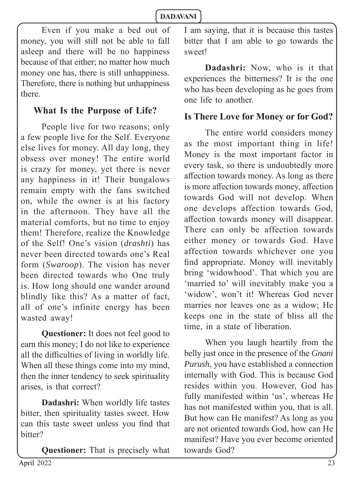Even if you make a bed out of money, you will still not be able to fall asleep and there will be no happiness because of that either; no matter how much money one has, there is still unhappiness. Therefore, there is nothing but unhappiness there.

## **What Is the Purpose of Life?**

People live for two reasons; only a few people live for the Self. Everyone else lives for money. All day long, they obsess over money! The entire world is crazy for money, yet there is never any happiness in it! Their bungalows remain empty with the fans switched on, while the owner is at his factory in the afternoon. They have all the material comforts, but no time to enjoy them! Therefore, realize the Knowledge of the Self! One's vision (*drashti*) has never been directed towards one's Real form (*Swaroop*). The vision has never been directed towards who One truly is. How long should one wander around blindly like this? As a matter of fact, all of one's infinite energy has been wasted away!

**Questioner:** It does not feel good to earn this money; I do not like to experience all the difficulties of living in worldly life. When all these things come into my mind, then the inner tendency to seek spirituality arises, is that correct?

**Dadashri:** When worldly life tastes bitter, then spirituality tastes sweet. How can this taste sweet unless you find that bitter?

**Questioner:** That is precisely what

I am saying, that it is because this tastes bitter that I am able to go towards the sweet!

**Dadashri:** Now, who is it that experiences the bitterness? It is the one who has been developing as he goes from one life to another.

## **Is There Love for Money or for God?**

The entire world considers money as the most important thing in life! Money is the most important factor in every task, so there is undoubtedly more affection towards money. As long as there is more affection towards money, affection towards God will not develop. When one develops affection towards God, affection towards money will disappear. There can only be affection towards either money or towards God. Have affection towards whichever one you find appropriate. Money will inevitably bring 'widowhood'. That which you are 'married to' will inevitably make you a 'widow', won't it! Whereas God never marries nor leaves one as a widow; He keeps one in the state of bliss all the time, in a state of liberation.

When you laugh heartily from the belly just once in the presence of the *Gnani Purush*, you have established a connection internally with God. This is because God resides within you. However, God has fully manifested within 'us', whereas He has not manifested within you, that is all. But how can He manifest? As long as you are not oriented towards God, how can He manifest? Have you ever become oriented towards God?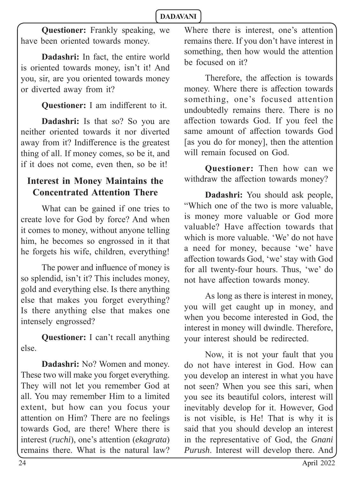**Questioner:** Frankly speaking, we have been oriented towards money.

**Dadashri:** In fact, the entire world is oriented towards money, isn't it! And you, sir, are you oriented towards money or diverted away from it?

**Questioner:** I am indifferent to it.

**Dadashri:** Is that so? So you are neither oriented towards it nor diverted away from it? Indifference is the greatest thing of all. If money comes, so be it, and if it does not come, even then, so be it!

## **Interest in Money Maintains the Concentrated Attention There**

What can be gained if one tries to create love for God by force? And when it comes to money, without anyone telling him, he becomes so engrossed in it that he forgets his wife, children, everything!

The power and influence of money is so splendid, isn't it? This includes money, gold and everything else. Is there anything else that makes you forget everything? Is there anything else that makes one intensely engrossed?

**Questioner:** I can't recall anything else.

**Dadashri:** No? Women and money. These two will make you forget everything. They will not let you remember God at all. You may remember Him to a limited extent, but how can you focus your attention on Him? There are no feelings towards God, are there! Where there is interest (*ruchi*), one's attention (*ekagrata*) remains there. What is the natural law?

Where there is interest, one's attention remains there. If you don't have interest in something, then how would the attention be focused on it?

Therefore, the affection is towards money. Where there is affection towards something, one's focused attention undoubtedly remains there. There is no aff ection towards God. If you feel the same amount of affection towards God [as you do for money], then the attention will remain focused on God.

**Questioner:** Then how can we withdraw the affection towards money?

**Dadashri:** You should ask people, "Which one of the two is more valuable, is money more valuable or God more valuable? Have affection towards that which is more valuable. 'We' do not have a need for money, because 'we' have affection towards God, 'we' stay with God for all twenty-four hours. Thus, 'we' do not have affection towards money.

As long as there is interest in money, you will get caught up in money, and when you become interested in God, the interest in money will dwindle. Therefore, your interest should be redirected.

Now, it is not your fault that you do not have interest in God. How can you develop an interest in what you have not seen? When you see this sari, when you see its beautiful colors, interest will inevitably develop for it. However, God is not visible, is He! That is why it is said that you should develop an interest in the representative of God, the *Gnani Purush*. Interest will develop there. And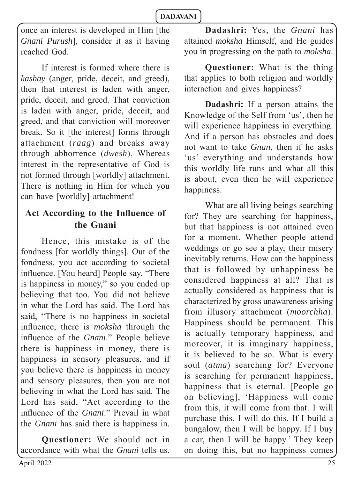once an interest is developed in Him [the *Gnani Purush*], consider it as it having reached God.

If interest is formed where there is *kashay* (anger, pride, deceit, and greed), then that interest is laden with anger, pride, deceit, and greed. That conviction is laden with anger, pride, deceit, and greed, and that conviction will moreover break. So it [the interest] forms through attachment (*raag*) and breaks away through abhorrence (*dwesh*). Whereas interest in the representative of God is not formed through [worldly] attachment. There is nothing in Him for which you can have [worldly] attachment!

## Act According to the Influence of **the Gnani**

Hence, this mistake is of the fondness [for worldly things]. Out of the fondness, you act according to societal influence. [You heard] People say, "There is happiness in money," so you ended up believing that too. You did not believe in what the Lord has said. The Lord has said, "There is no happiness in societal influence, there is *moksha* through the influence of the *Gnani*." People believe there is happiness in money, there is happiness in sensory pleasures, and if you believe there is happiness in money and sensory pleasures, then you are not believing in what the Lord has said. The Lord has said, "Act according to the influence of the *Gnani*." Prevail in what the *Gnani* has said there is happiness in.

**Questioner:** We should act in accordance with what the *Gnani* tells us.

**Dadashri:** Yes, the *Gnani* has attained *moksha* Himself, and He guides you in progressing on the path to *moksha*.

**Questioner:** What is the thing that applies to both religion and worldly interaction and gives happiness?

**Dadashri:** If a person attains the Knowledge of the Self from 'us', then he will experience happiness in everything. And if a person has obstacles and does not want to take *Gnan*, then if he asks 'us' everything and understands how this worldly life runs and what all this is about, even then he will experience happiness.

What are all living beings searching for? They are searching for happiness, but that happiness is not attained even for a moment. Whether people attend weddings or go see a play, their misery inevitably returns. How can the happiness that is followed by unhappiness be considered happiness at all? That is actually considered as happiness that is characterized by gross unawareness arising from illusory attachment (*moorchha*). Happiness should be permanent. This is actually temporary happiness, and moreover, it is imaginary happiness, it is believed to be so. What is every soul (*atma*) searching for? Everyone is searching for permanent happiness, happiness that is eternal. [People go on believing], 'Happiness will come from this, it will come from that. I will purchase this. I will do this. If I build a bungalow, then I will be happy. If I buy a car, then I will be happy.' They keep on doing this, but no happiness comes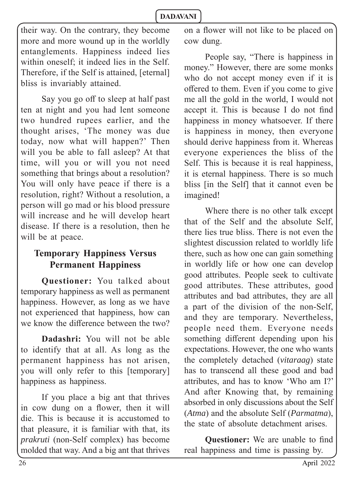their way. On the contrary, they become more and more wound up in the worldly entanglements. Happiness indeed lies within oneself; it indeed lies in the Self. Therefore, if the Self is attained, [eternal] bliss is invariably attained.

Say you go off to sleep at half past ten at night and you had lent someone two hundred rupees earlier, and the thought arises, 'The money was due today, now what will happen?' Then will you be able to fall asleep? At that time, will you or will you not need something that brings about a resolution? You will only have peace if there is a resolution, right? Without a resolution, a person will go mad or his blood pressure will increase and he will develop heart disease. If there is a resolution, then he will be at peace.

## **Temporary Happiness Versus Permanent Happiness**

**Questioner:** You talked about temporary happiness as well as permanent happiness. However, as long as we have not experienced that happiness, how can we know the difference between the  $two?$ 

**Dadashri:** You will not be able to identify that at all. As long as the permanent happiness has not arisen, you will only refer to this [temporary] happiness as happiness.

If you place a big ant that thrives in cow dung on a flower, then it will die. This is because it is accustomed to that pleasure, it is familiar with that, its *prakruti* (non-Self complex) has become molded that way. And a big ant that thrives on a flower will not like to be placed on cow dung.

People say, "There is happiness in money." However, there are some monks who do not accept money even if it is offered to them. Even if you come to give me all the gold in the world, I would not accept it. This is because I do not find happiness in money whatsoever. If there is happiness in money, then everyone should derive happiness from it. Whereas everyone experiences the bliss of the Self. This is because it is real happiness, it is eternal happiness. There is so much bliss [in the Self] that it cannot even be imagined!

Where there is no other talk except that of the Self and the absolute Self, there lies true bliss. There is not even the slightest discussion related to worldly life there, such as how one can gain something in worldly life or how one can develop good attributes. People seek to cultivate good attributes. These attributes, good attributes and bad attributes, they are all a part of the division of the non-Self, and they are temporary. Nevertheless, people need them. Everyone needs something different depending upon his expectations. However, the one who wants the completely detached (*vitaraag*) state has to transcend all these good and bad attributes, and has to know 'Who am I?' And after Knowing that, by remaining absorbed in only discussions about the Self (*Atma*) and the absolute Self (*Parmatma*), the state of absolute detachment arises.

**Questioner:** We are unable to find real happiness and time is passing by.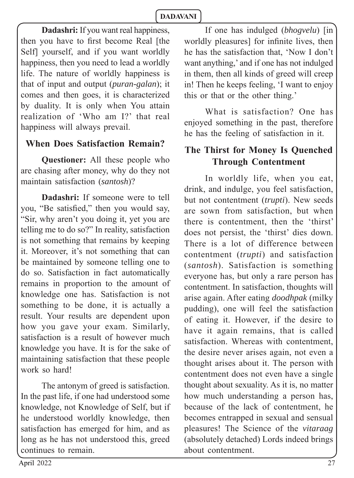**Dadashri:** If you want real happiness, then you have to first become Real [the Self] yourself, and if you want worldly happiness, then you need to lead a worldly life. The nature of worldly happiness is that of input and output (*puran-galan*); it comes and then goes, it is characterized by duality. It is only when You attain realization of 'Who am I?' that real happiness will always prevail.

## **When Does Satisfaction Remain?**

**Questioner:** All these people who are chasing after money, why do they not maintain satisfaction (*santosh*)?

**Dadashri:** If someone were to tell you, "Be satisfied," then you would say, "Sir, why aren't you doing it, yet you are telling me to do so?" In reality, satisfaction is not something that remains by keeping it. Moreover, it's not something that can be maintained by someone telling one to do so. Satisfaction in fact automatically remains in proportion to the amount of knowledge one has. Satisfaction is not something to be done, it is actually a result. Your results are dependent upon how you gave your exam. Similarly, satisfaction is a result of however much knowledge you have. It is for the sake of maintaining satisfaction that these people work so hard!

The antonym of greed is satisfaction. In the past life, if one had understood some knowledge, not Knowledge of Self, but if he understood worldly knowledge, then satisfaction has emerged for him, and as long as he has not understood this, greed continues to remain.

If one has indulged (*bhogvelu*) [in worldly pleasures] for infinite lives, then he has the satisfaction that, 'Now I don't want anything,' and if one has not indulged in them, then all kinds of greed will creep in! Then he keeps feeling, 'I want to enjoy this or that or the other thing.'

What is satisfaction? One has enjoyed something in the past, therefore he has the feeling of satisfaction in it.

## **The Thirst for Money Is Quenched Through Contentment**

In worldly life, when you eat, drink, and indulge, you feel satisfaction, but not contentment (*trupti*). New seeds are sown from satisfaction, but when there is contentment, then the 'thirst' does not persist, the 'thirst' dies down. There is a lot of difference between contentment (*trupti*) and satisfaction (*santosh*). Satisfaction is something everyone has, but only a rare person has contentment. In satisfaction, thoughts will arise again. After eating *doodhpak* (milky pudding), one will feel the satisfaction of eating it. However, if the desire to have it again remains, that is called satisfaction. Whereas with contentment, the desire never arises again, not even a thought arises about it. The person with contentment does not even have a single thought about sexuality. As it is, no matter how much understanding a person has, because of the lack of contentment, he becomes entrapped in sexual and sensual pleasures! The Science of the *vitaraag*  (absolutely detached) Lords indeed brings about contentment.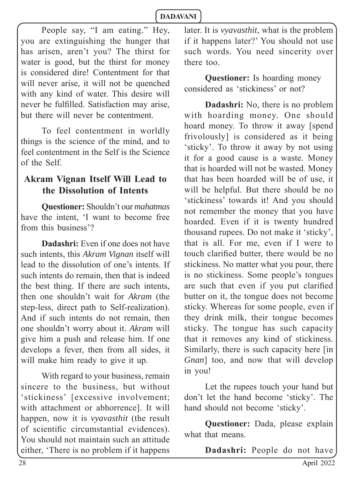People say, "I am eating." Hey, you are extinguishing the hunger that has arisen, aren't you? The thirst for water is good, but the thirst for money is considered dire! Contentment for that will never arise, it will not be quenched with any kind of water. This desire will never be fulfilled. Satisfaction may arise, but there will never be contentment.

To feel contentment in worldly things is the science of the mind, and to feel contentment in the Self is the Science of the Self.

## **Akram Vignan Itself Will Lead to the Dissolution of Intents**

**Questioner:** Shouldn't our *mahatmas* have the intent, 'I want to become free from this business'?

**Dadashri:** Even if one does not have such intents, this *Akram Vignan* itself will lead to the dissolution of one's intents. If such intents do remain, then that is indeed the best thing. If there are such intents, then one shouldn't wait for *Akram* (the step-less, direct path to Self-realization). And if such intents do not remain, then one shouldn't worry about it. *Akram* will give him a push and release him. If one develops a fever, then from all sides, it will make him ready to give it up.

With regard to your business, remain sincere to the business, but without 'stickiness' [excessive involvement; with attachment or abhorrence]. It will happen, now it is *vyavasthit* (the result of scientific circumstantial evidences). You should not maintain such an attitude either, 'There is no problem if it happens

later. It is *vyavasthit*, what is the problem if it happens later?' You should not use such words. You need sincerity over there too.

**Questioner:** Is hoarding money considered as 'stickiness' or not?

**Dadashri:** No, there is no problem with hoarding money. One should hoard money. To throw it away [spend frivolously] is considered as it being 'sticky'. To throw it away by not using it for a good cause is a waste. Money that is hoarded will not be wasted. Money that has been hoarded will be of use, it will be helpful. But there should be no 'stickiness' towards it! And you should not remember the money that you have hoarded. Even if it is twenty hundred thousand rupees. Do not make it 'sticky', that is all. For me, even if I were to touch clarified butter, there would be no stickiness. No matter what you pour, there is no stickiness. Some people's tongues are such that even if you put clarified butter on it, the tongue does not become sticky. Whereas for some people, even if they drink milk, their tongue becomes sticky. The tongue has such capacity that it removes any kind of stickiness. Similarly, there is such capacity here [in *Gnan*] too, and now that will develop in you!

Let the rupees touch your hand but don't let the hand become 'sticky'. The hand should not become 'sticky'.

**Questioner:** Dada, please explain what that means.

**Dadashri:** People do not have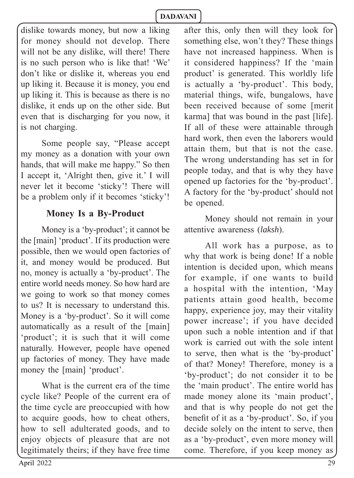dislike towards money, but now a liking for money should not develop. There will not be any dislike, will there! There is no such person who is like that! 'We' don't like or dislike it, whereas you end up liking it. Because it is money, you end up liking it. This is because as there is no dislike, it ends up on the other side. But even that is discharging for you now, it is not charging.

Some people say, "Please accept my money as a donation with your own hands, that will make me happy." So then I accept it, 'Alright then, give it.' I will never let it become 'sticky'! There will be a problem only if it becomes 'sticky'!

#### **Money Is a By-Product**

Money is a 'by-product'; it cannot be the [main] 'product'. If its production were possible, then we would open factories of it, and money would be produced. But no, money is actually a 'by-product'. The entire world needs money. So how hard are we going to work so that money comes to us? It is necessary to understand this. Money is a 'by-product'. So it will come automatically as a result of the [main] 'product'; it is such that it will come naturally. However, people have opened up factories of money. They have made money the [main] 'product'.

What is the current era of the time cycle like? People of the current era of the time cycle are preoccupied with how to acquire goods, how to cheat others, how to sell adulterated goods, and to enjoy objects of pleasure that are not legitimately theirs; if they have free time

after this, only then will they look for something else, won't they? These things have not increased happiness. When is it considered happiness? If the 'main product' is generated. This worldly life is actually a 'by-product'. This body, material things, wife, bungalows, have been received because of some [merit karma] that was bound in the past [life]. If all of these were attainable through hard work, then even the laborers would attain them, but that is not the case. The wrong understanding has set in for people today, and that is why they have opened up factories for the 'by-product'. A factory for the 'by-product' should not be opened.

Money should not remain in your attentive awareness (*laksh*).

All work has a purpose, as to why that work is being done! If a noble intention is decided upon, which means for example, if one wants to build a hospital with the intention, 'May patients attain good health, become happy, experience joy, may their vitality power increase'; if you have decided upon such a noble intention and if that work is carried out with the sole intent to serve, then what is the 'by-product' of that? Money! Therefore, money is a 'by-product'; do not consider it to be the 'main product'. The entire world has made money alone its 'main product', and that is why people do not get the benefit of it as a 'by-product'. So, if you decide solely on the intent to serve, then as a 'by-product', even more money will come. Therefore, if you keep money as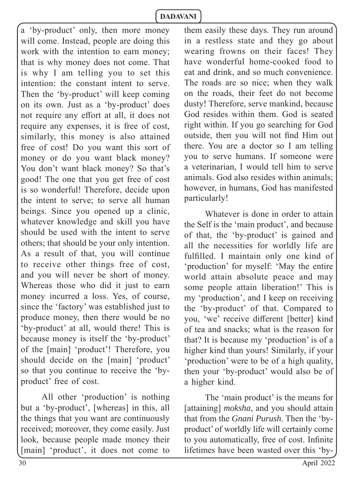a 'by-product' only, then more money will come. Instead, people are doing this work with the intention to earn money; that is why money does not come. That is why I am telling you to set this intention: the constant intent to serve. Then the 'by-product' will keep coming on its own. Just as a 'by-product' does not require any effort at all, it does not require any expenses, it is free of cost, similarly, this money is also attained free of cost! Do you want this sort of money or do you want black money? You don't want black money? So that's good! The one that you get free of cost is so wonderful! Therefore, decide upon the intent to serve; to serve all human beings. Since you opened up a clinic, whatever knowledge and skill you have should be used with the intent to serve others; that should be your only intention. As a result of that, you will continue to receive other things free of cost, and you will never be short of money. Whereas those who did it just to earn money incurred a loss. Yes, of course, since the 'factory' was established just to produce money, then there would be no 'by-product' at all, would there! This is because money is itself the 'by-product' of the [main] 'product'! Therefore, you should decide on the [main] 'product' so that you continue to receive the 'byproduct' free of cost.

All other 'production' is nothing but a 'by-product', [whereas] in this, all the things that you want are continuously received; moreover, they come easily. Just look, because people made money their [main] 'product', it does not come to them easily these days. They run around in a restless state and they go about wearing frowns on their faces! They have wonderful home-cooked food to eat and drink, and so much convenience. The roads are so nice; when they walk on the roads, their feet do not become dusty! Therefore, serve mankind, because God resides within them. God is seated right within. If you go searching for God outside, then you will not find Him out there. You are a doctor so I am telling you to serve humans. If someone were a veterinarian, I would tell him to serve animals. God also resides within animals; however, in humans, God has manifested particularly!

Whatever is done in order to attain the Self is the 'main product', and because of that, the 'by-product' is gained and all the necessities for worldly life are fulfilled. I maintain only one kind of 'production' for myself: 'May the entire world attain absolute peace and may some people attain liberation!' This is my 'production', and I keep on receiving the 'by-product' of that. Compared to you, 'we' receive different [better] kind of tea and snacks; what is the reason for that? It is because my 'production' is of a higher kind than yours! Similarly, if your 'production' were to be of a high quality, then your 'by-product' would also be of a higher kind.

The 'main product' is the means for [attaining] *moksha*, and you should attain that from the *Gnani Purush*. Then the 'byproduct' of worldly life will certainly come to you automatically, free of cost. Infinite lifetimes have been wasted over this 'by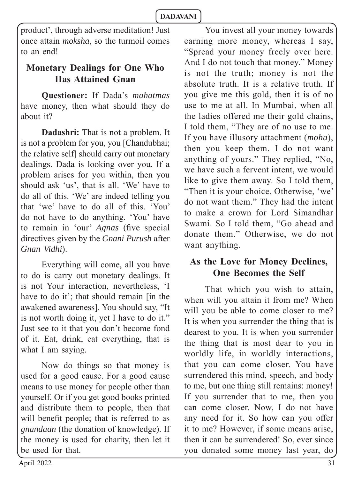product', through adverse meditation! Just once attain *moksha*, so the turmoil comes to an end!

## **Monetary Dealings for One Who Has Attained Gnan**

**Questioner:** If Dada's *mahatmas* have money, then what should they do about it?

**Dadashri:** That is not a problem. It is not a problem for you, you [Chandubhai; the relative self] should carry out monetary dealings. Dada is looking over you. If a problem arises for you within, then you should ask 'us', that is all. 'We' have to do all of this. 'We' are indeed telling you that 'we' have to do all of this. 'You' do not have to do anything. 'You' have to remain in 'our' *Agnas* (five special directives given by the *Gnani Purush* after *Gnan Vidhi*).

Everything will come, all you have to do is carry out monetary dealings. It is not Your interaction, nevertheless, 'I have to do it'; that should remain [in the awakened awareness]. You should say, "It is not worth doing it, yet I have to do it." Just see to it that you don't become fond of it. Eat, drink, eat everything, that is what I am saying.

Now do things so that money is used for a good cause. For a good cause means to use money for people other than yourself. Or if you get good books printed and distribute them to people, then that will benefit people; that is referred to as *gnandaan* (the donation of knowledge). If the money is used for charity, then let it be used for that.

You invest all your money towards earning more money, whereas I say, "Spread your money freely over here. And I do not touch that money." Money is not the truth; money is not the absolute truth. It is a relative truth. If you give me this gold, then it is of no use to me at all. In Mumbai, when all the ladies offered me their gold chains, I told them, "They are of no use to me. If you have illusory attachment (*moha*), then you keep them. I do not want anything of yours." They replied, "No, we have such a fervent intent, we would like to give them away. So I told them, "Then it is your choice. Otherwise, 'we' do not want them." They had the intent to make a crown for Lord Simandhar Swami. So I told them, "Go ahead and donate them." Otherwise, we do not want anything.

## **As the Love for Money Declines, One Becomes the Self**

That which you wish to attain, when will you attain it from me? When will you be able to come closer to me? It is when you surrender the thing that is dearest to you. It is when you surrender the thing that is most dear to you in worldly life, in worldly interactions, that you can come closer. You have surrendered this mind, speech, and body to me, but one thing still remains: money! If you surrender that to me, then you can come closer. Now, I do not have any need for it. So how can you offer it to me? However, if some means arise, then it can be surrendered! So, ever since you donated some money last year, do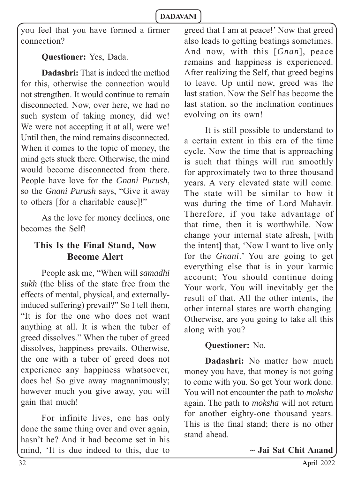you feel that you have formed a firmer connection?

**Questioner:** Yes, Dada.

**Dadashri:** That is indeed the method for this, otherwise the connection would not strengthen. It would continue to remain disconnected. Now, over here, we had no such system of taking money, did we! We were not accepting it at all, were we! Until then, the mind remains disconnected. When it comes to the topic of money, the mind gets stuck there. Otherwise, the mind would become disconnected from there. People have love for the *Gnani Purush*, so the *Gnani Purush* says, "Give it away to others [for a charitable cause]!"

As the love for money declines, one becomes the Self!

## **This Is the Final Stand, Now Become Alert**

People ask me, "When will *samadhi sukh* (the bliss of the state free from the effects of mental, physical, and externallyinduced suffering) prevail?" So I tell them, "It is for the one who does not want anything at all. It is when the tuber of greed dissolves." When the tuber of greed dissolves, happiness prevails. Otherwise, the one with a tuber of greed does not experience any happiness whatsoever, does he! So give away magnanimously; however much you give away, you will gain that much!

For infinite lives, one has only done the same thing over and over again, hasn't he? And it had become set in his mind, 'It is due indeed to this, due to greed that I am at peace!' Now that greed also leads to getting beatings sometimes. And now, with this [*Gnan*], peace remains and happiness is experienced. After realizing the Self, that greed begins to leave. Up until now, greed was the last station. Now the Self has become the last station, so the inclination continues evolving on its own!

It is still possible to understand to a certain extent in this era of the time cycle. Now the time that is approaching is such that things will run smoothly for approximately two to three thousand years. A very elevated state will come. The state will be similar to how it was during the time of Lord Mahavir. Therefore, if you take advantage of that time, then it is worthwhile. Now change your internal state afresh, [with the intent] that, 'Now I want to live only for the *Gnani*.' You are going to get everything else that is in your karmic account; You should continue doing Your work. You will inevitably get the result of that. All the other intents, the other internal states are worth changing. Otherwise, are you going to take all this along with you?

## **Questioner:** No.

**Dadashri:** No matter how much money you have, that money is not going to come with you. So get Your work done. You will not encounter the path to *moksha*  again. The path to *moksha* will not return for another eighty-one thousand years. This is the final stand; there is no other stand ahead.

 **~ Jai Sat Chit Anand**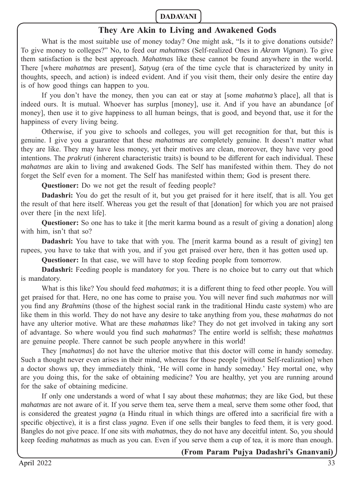#### **They Are Akin to Living and Awakened Gods**

What is the most suitable use of money today? One might ask, "Is it to give donations outside? To give money to colleges?" No, to feed our *mahatmas* (Self-realized Ones in *Akram Vignan*). To give them satisfaction is the best approach. *Mahatmas* like these cannot be found anywhere in the world. There [where *mahatmas* are present], *Satyug* (era of the time cycle that is characterized by unity in thoughts, speech, and action) is indeed evident. And if you visit them, their only desire the entire day is of how good things can happen to you.

If you don't have the money, then you can eat or stay at [some *mahatma's* place], all that is indeed ours. It is mutual. Whoever has surplus [money], use it. And if you have an abundance [of money], then use it to give happiness to all human beings, that is good, and beyond that, use it for the happiness of every living being.

Otherwise, if you give to schools and colleges, you will get recognition for that, but this is genuine. I give you a guarantee that these *mahatmas* are completely genuine. It doesn't matter what they are like. They may have less money, yet their motives are clean, moreover, they have very good intentions. The *prakruti* (inherent characteristic traits) is bound to be different for each individual. These *mahatmas* are akin to living and awakened Gods. The Self has manifested within them. They do not forget the Self even for a moment. The Self has manifested within them; God is present there.

**Questioner:** Do we not get the result of feeding people?

**Dadashri:** You do get the result of it, but you get praised for it here itself, that is all. You get the result of that here itself. Whereas you get the result of that [donation] for which you are not praised over there [in the next life].

**Questioner:** So one has to take it [the merit karma bound as a result of giving a donation] along with him, isn't that so?

**Dadashri:** You have to take that with you. The [merit karma bound as a result of giving] ten rupees, you have to take that with you, and if you get praised over here, then it has gotten used up.

**Questioner:** In that case, we will have to stop feeding people from tomorrow.

**Dadashri:** Feeding people is mandatory for you. There is no choice but to carry out that which is mandatory.

What is this like? You should feed *mahatmas*; it is a different thing to feed other people. You will get praised for that. Here, no one has come to praise you. You will never find such *mahatmas* nor will you find any *Brahmins* (those of the highest social rank in the traditional Hindu caste system) who are like them in this world. They do not have any desire to take anything from you, these *mahatmas* do not have any ulterior motive. What are these *mahatmas* like? They do not get involved in taking any sort of advantage. So where would you find such *mahatmas*? The entire world is selfish; these *mahatmas* are genuine people. There cannot be such people anywhere in this world!

They [*mahatmas*] do not have the ulterior motive that this doctor will come in handy someday. Such a thought never even arises in their mind, whereas for those people [without Self-realization] when a doctor shows up, they immediately think, 'He will come in handy someday.' Hey mortal one, why are you doing this, for the sake of obtaining medicine? You are healthy, yet you are running around for the sake of obtaining medicine.

 If only one understands a word of what I say about these *mahatmas*; they are like God, but these *mahatmas* are not aware of it. If you serve them tea, serve them a meal, serve them some other food, that is considered the greatest *yagna* (a Hindu ritual in which things are offered into a sacrificial fire with a specific objective), it is a first class *yagna*. Even if one sells their bangles to feed them, it is very good. Bangles do not give peace. If one sits with *mahatmas*, they do not have any deceitful intent. So, you should keep feeding *mahatmas* as much as you can. Even if you serve them a cup of tea, it is more than enough.

#### **(From Param Pujya Dadashri's Gnanvani)**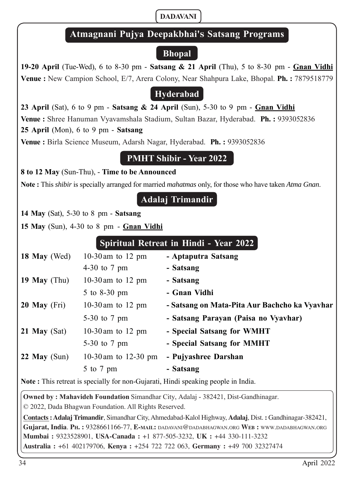## **Atmagnani Pujya Deepakbhai'ඌ Satsang Programs**

## **Bhopal**

**19-20 April** (Tue-Wed), 6 to 8-30 pm - **Satsang & 21 April** (Thu), 5 to 8-30 pm - **Gnan Vidhi Venue :** New Campion School, E/7, Arera Colony, Near Shahpura Lake, Bhopal. **Ph. :** 7879518779

## **Hyderabad**

**23 April** (Sat), 6 to 9 pm - **Satsang & 24 April** (Sun), 5-30 to 9 pm - **Gnan Vidhi Venue :** Shree Hanuman Vyavamshala Stadium, Sultan Bazar, Hyderabad. **Ph. :** 9393052836 **25 April** (Mon), 6 to 9 pm - **Satsang Venue :** Birla Science Museum, Adarsh Nagar, Hyderabad. **Ph. :** 9393052836

## **PMHT Shibir - Year 2022**

**8 to 12 May** (Sun-Thu), - **Time to be Announced**

**Note :** This *shibir* is specially arranged for married *mahatmas* only, for those who have taken *Atma Gnan*.

**Adalaj Trimandir**

**14 May** (Sat), 5-30 to 8 pm - **Satsang**

**15 May** (Sun), 4-30 to 8 pm - **Gnan Vidhi**

## **Spiritual Retreat in Hindi - Year 2022**

| 18 May (Wed)   | 10-30 am to 12 pm      | - Aptaputra Satsang                           |
|----------------|------------------------|-----------------------------------------------|
|                | 4-30 to $7 \text{ pm}$ | - Satsang                                     |
| 19 May $(Thu)$ | 10-30 am to 12 pm      | - Satsang                                     |
|                | 5 to 8-30 pm           | - Gnan Vidhi                                  |
| $20$ May (Fri) | 10-30 am to 12 pm      | - Satsang on Mata-Pita Aur Bachcho ka Vyavhar |
|                | 5-30 to $7 \text{ pm}$ | - Satsang Parayan (Paisa no Vyavhar)          |
| 21 May $(Sat)$ | 10-30 am to 12 pm      | - Special Satsang for WMHT                    |
|                | 5-30 to $7 \text{ pm}$ | - Special Satsang for MMHT                    |
| 22 May $(Sun)$ | 10-30 am to 12-30 pm   | - Pujyashree Darshan                          |
|                | $5$ to $7$ pm          | - Satsang                                     |
|                |                        |                                               |

**Note :** This retreat is specially for non-Gujarati, Hindi speaking people in India.

**Owned by : Mahavideh Foundation** Simandhar City, Adalaj - 382421, Dist-Gandhinagar.

© 2022, Dada Bhagwan Foundation. All Rights Reserved.

**Contacts : Adalaj Trimandir**, Simandhar City, Ahmedabad-Kalol Highway, **Adalaj**, Dist. **:** Gandhinagar-382421, **Gujarat, India**. **PH. :** 9328661166-77, **E-MAIL:** DADAVANI@DADABHAGWAN.ORG **WEB :** WWW.DADABHAGWAN.ORG **Mumbai :** 9323528901, **USA-Canada :** +1 877-505-3232, **UK :** +44 330-111-3232 **Australia :** +61 402179706, **Kenya :** +254 722 722 063, **Germany :** +49 700 32327474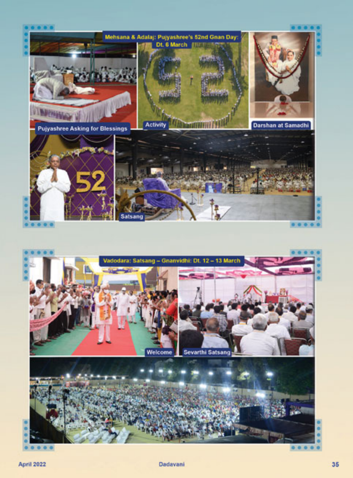

**April 2022** 

 $0 0 0 0$ 

201211